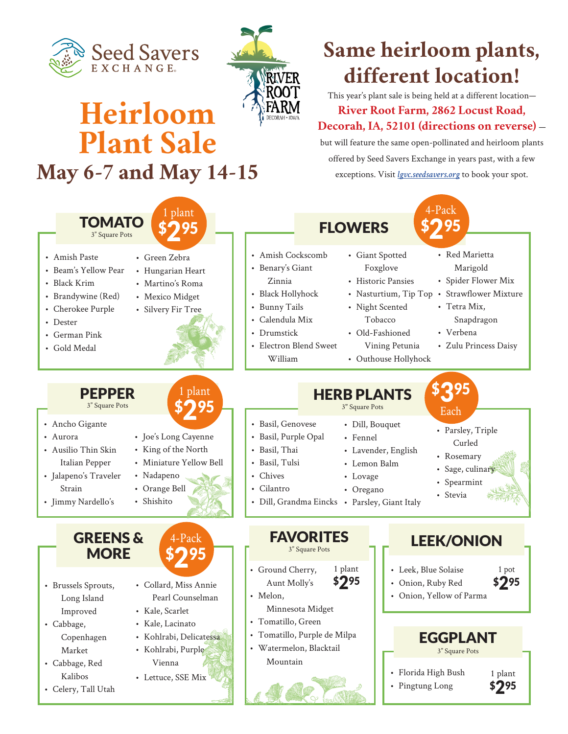



# **Heirloom Plant Sale May 6-7 and May 14-15**

### **Same heirloom plants, different location!**

This year's plant sale is being held at a different location— **River Root Farm, 2862 Locust Road, Decorah, IA, 52101 (directions on reverse)** —

but will feature the same open-pollinated and heirloom plants offered by Seed Savers Exchange in years past, with a few exceptions. Visit *lgvc.seedsavers.org* to book your spot.